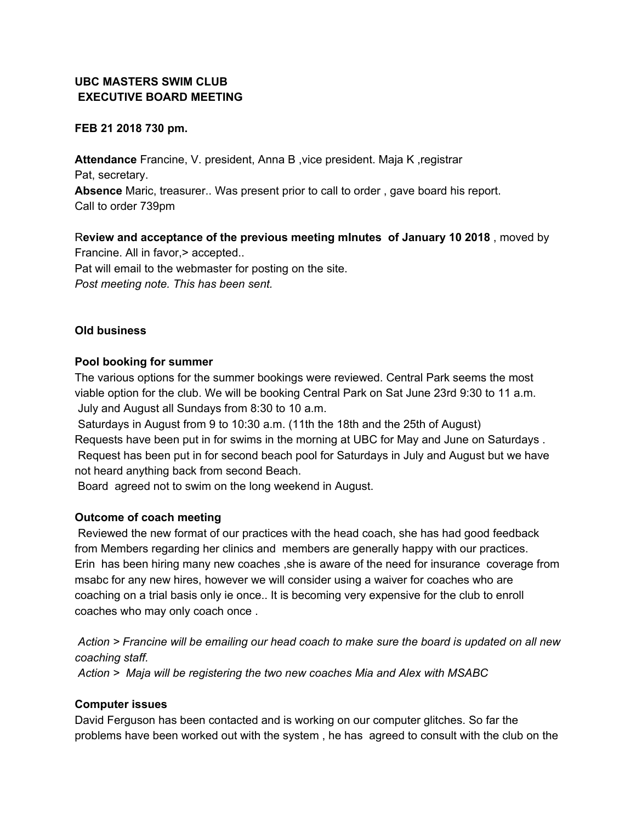# **UBC MASTERS SWIM CLUB EXECUTIVE BOARD MEETING**

### **FEB 21 2018 730 pm.**

**Attendance** Francine, V. president, Anna B ,vice president. Maja K ,registrar Pat, secretary. **Absence** Maric, treasurer.. Was present prior to call to order , gave board his report. Call to order 739pm

R**eview and acceptance of the previous meeting mInutes of January 10 2018** , moved by Francine. All in favor, > accepted.. Pat will email to the webmaster for posting on the site. *Post meeting note. This has been sent.*

### **Old business**

### **Pool booking for summer**

The various options for the summer bookings were reviewed. Central Park seems the most viable option for the club. We will be booking Central Park on Sat June 23rd 9:30 to 11 a.m. July and August all Sundays from 8:30 to 10 a.m.

Saturdays in August from 9 to 10:30 a.m. (11th the 18th and the 25th of August) Requests have been put in for swims in the morning at UBC for May and June on Saturdays . Request has been put in for second beach pool for Saturdays in July and August but we have not heard anything back from second Beach.

Board agreed not to swim on the long weekend in August.

## **Outcome of coach meeting**

Reviewed the new format of our practices with the head coach, she has had good feedback from Members regarding her clinics and members are generally happy with our practices. Erin has been hiring many new coaches ,she is aware of the need for insurance coverage from msabc for any new hires, however we will consider using a waiver for coaches who are coaching on a trial basis only ie once.. It is becoming very expensive for the club to enroll coaches who may only coach once .

Action > Francine will be emailing our head coach to make sure the board is updated on all new *coaching staff.*

*Action > Maja will be registering the two new coaches Mia and Alex with MSABC*

#### **Computer issues**

David Ferguson has been contacted and is working on our computer glitches. So far the problems have been worked out with the system , he has agreed to consult with the club on the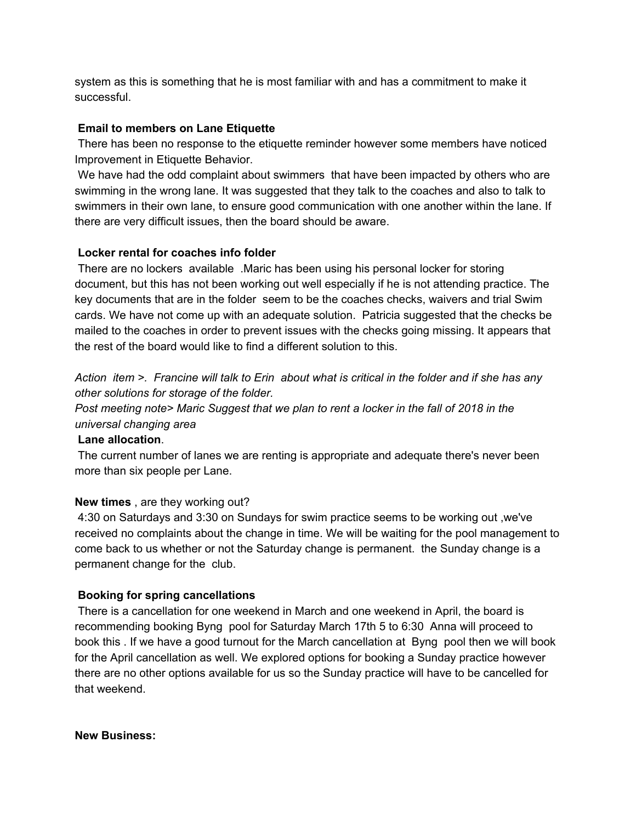system as this is something that he is most familiar with and has a commitment to make it successful.

### **Email to members on Lane Etiquette**

There has been no response to the etiquette reminder however some members have noticed Improvement in Etiquette Behavior.

We have had the odd complaint about swimmers that have been impacted by others who are swimming in the wrong lane. It was suggested that they talk to the coaches and also to talk to swimmers in their own lane, to ensure good communication with one another within the lane. If there are very difficult issues, then the board should be aware.

### **Locker rental for coaches info folder**

There are no lockers available .Maric has been using his personal locker for storing document, but this has not been working out well especially if he is not attending practice. The key documents that are in the folder seem to be the coaches checks, waivers and trial Swim cards. We have not come up with an adequate solution. Patricia suggested that the checks be mailed to the coaches in order to prevent issues with the checks going missing. It appears that the rest of the board would like to find a different solution to this.

Action item >. Francine will talk to Erin about what is critical in the folder and if she has any *other solutions for storage of the folder.*

*Post meeting note> Maric Suggest that we plan to rent a locker in the fall of 2018 in the universal changing area*

#### **Lane allocation**.

The current number of lanes we are renting is appropriate and adequate there's never been more than six people per Lane.

## **New times** , are they working out?

4:30 on Saturdays and 3:30 on Sundays for swim practice seems to be working out ,we've received no complaints about the change in time. We will be waiting for the pool management to come back to us whether or not the Saturday change is permanent. the Sunday change is a permanent change for the club.

#### **Booking for spring cancellations**

There is a cancellation for one weekend in March and one weekend in April, the board is recommending booking Byng pool for Saturday March 17th 5 to 6:30 Anna will proceed to book this . If we have a good turnout for the March cancellation at Byng pool then we will book for the April cancellation as well. We explored options for booking a Sunday practice however there are no other options available for us so the Sunday practice will have to be cancelled for that weekend.

#### **New Business:**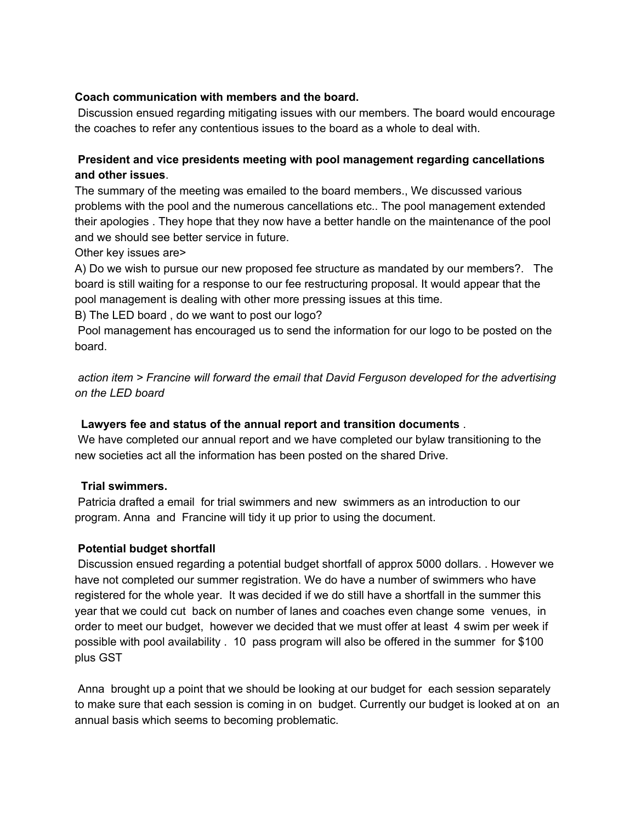### **Coach communication with members and the board.**

Discussion ensued regarding mitigating issues with our members. The board would encourage the coaches to refer any contentious issues to the board as a whole to deal with.

## **President and vice presidents meeting with pool management regarding cancellations and other issues**.

The summary of the meeting was emailed to the board members., We discussed various problems with the pool and the numerous cancellations etc.. The pool management extended their apologies . They hope that they now have a better handle on the maintenance of the pool and we should see better service in future.

Other key issues are>

A) Do we wish to pursue our new proposed fee structure as mandated by our members?. The board is still waiting for a response to our fee restructuring proposal. It would appear that the pool management is dealing with other more pressing issues at this time.

B) The LED board , do we want to post our logo?

Pool management has encouraged us to send the information for our logo to be posted on the board.

*action item > Francine will forward the email that David Ferguson developed for the advertising on the LED board*

## **Lawyers fee and status of the annual report and transition documents** .

We have completed our annual report and we have completed our bylaw transitioning to the new societies act all the information has been posted on the shared Drive.

## **Trial swimmers.**

Patricia drafted a email for trial swimmers and new swimmers as an introduction to our program. Anna and Francine will tidy it up prior to using the document.

#### **Potential budget shortfall**

Discussion ensued regarding a potential budget shortfall of approx 5000 dollars. . However we have not completed our summer registration. We do have a number of swimmers who have registered for the whole year. It was decided if we do still have a shortfall in the summer this year that we could cut back on number of lanes and coaches even change some venues, in order to meet our budget, however we decided that we must offer at least 4 swim per week if possible with pool availability . 10 pass program will also be offered in the summer for \$100 plus GST

Anna brought up a point that we should be looking at our budget for each session separately to make sure that each session is coming in on budget. Currently our budget is looked at on an annual basis which seems to becoming problematic.